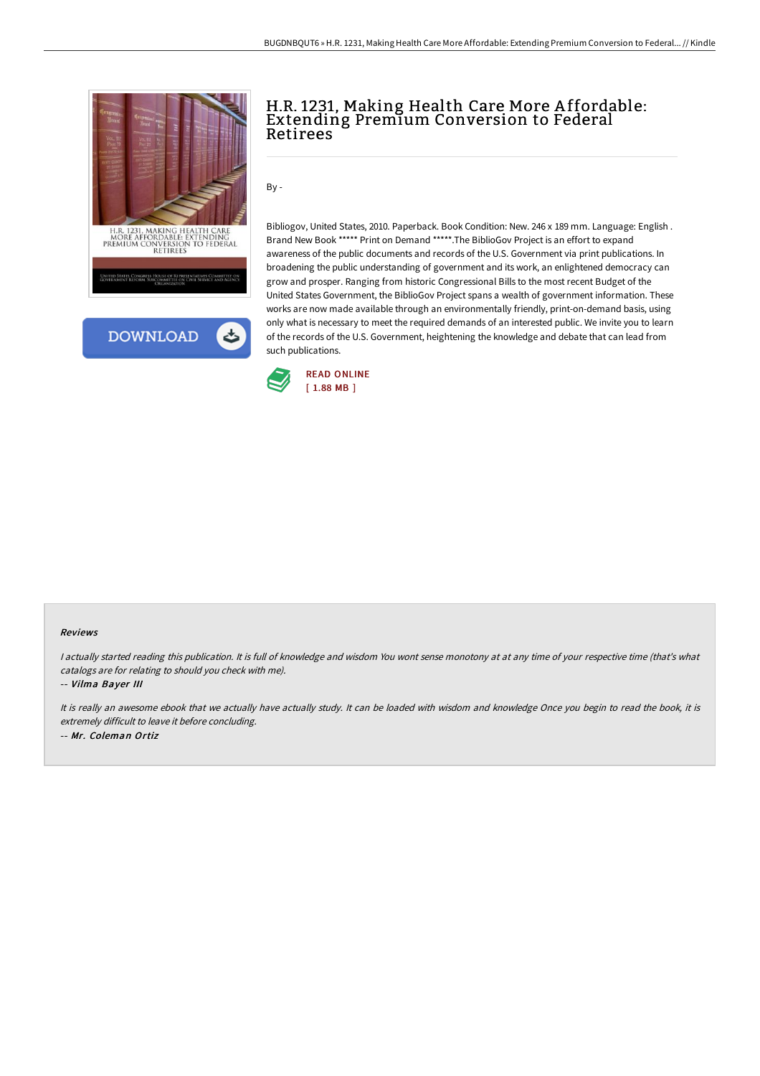



## H.R. 1231, Making Health Care More A ffordable: Extending Premium Conversion to Federal Retirees

By -

Bibliogov, United States, 2010. Paperback. Book Condition: New. 246 x 189 mm. Language: English . Brand New Book \*\*\*\*\* Print on Demand \*\*\*\*\*.The BiblioGov Project is an effort to expand awareness of the public documents and records of the U.S. Government via print publications. In broadening the public understanding of government and its work, an enlightened democracy can grow and prosper. Ranging from historic Congressional Bills to the most recent Budget of the United States Government, the BiblioGov Project spans a wealth of government information. These works are now made available through an environmentally friendly, print-on-demand basis, using only what is necessary to meet the required demands of an interested public. We invite you to learn of the records of the U.S. Government, heightening the knowledge and debate that can lead from such publications.



## Reviews

I actually started reading this publication. It is full of knowledge and wisdom You wont sense monotony at at any time of your respective time (that's what catalogs are for relating to should you check with me).

-- Vilma Bayer III

It is really an awesome ebook that we actually have actually study. It can be loaded with wisdom and knowledge Once you begin to read the book, it is extremely difficult to leave it before concluding. -- Mr. Coleman Ortiz